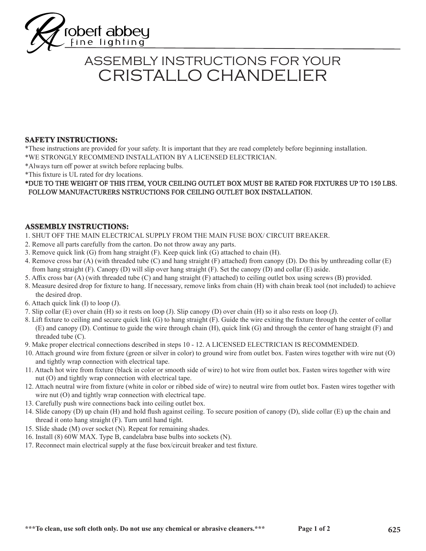

# CRISTALLO CHANDELIER ASSEMBLY INSTRUCTIONS FOR YOUR

### **SAFETY INSTRUCTIONS:**

\*These instructions are provided for your safety. It is important that they are read completely before beginning installation. \*WE STRONGLY RECOMMEND INSTALLATION BY A LICENSED ELECTRICIAN.

\*Always turn off power at switch before replacing bulbs.

\*This fixture is UL rated for dry locations.

#### \*DUE TO THE WEIGHT OF THIS ITEM, YOUR CEILING OUTLET BOX MUST BE RATED FOR FIXTURES UP TO 150 LBS. FOLLOW MANUFACTURERS NSTRUCTIONS FOR CEILING OUTLET BOX INSTALLATION.

### **ASSEMBLY INSTRUCTIONS:**

- 1. SHUT OFF THE MAIN ELECTRICAL SUPPLY FROM THE MAIN FUSE BOX/ CIRCUIT BREAKER.
- 2. Remove all parts carefully from the carton. Do not throw away any parts.
- 3. Remove quick link (G) from hang straight (F). Keep quick link (G) attached to chain (H).
- 4. Remove cross bar (A) (with threaded tube (C) and hang straight (F) attached) from canopy (D). Do this by unthreading collar (E) from hang straight (F). Canopy (D) will slip over hang straight (F). Set the canopy (D) and collar (E) aside.
- 5. Affix cross bar (A) (with threaded tube (C) and hang straight (F) attached) to ceiling outlet box using screws (B) provided.
- 8. Measure desired drop for fixture to hang. If necessary, remove links from chain (H) with chain break tool (not included) to achieve the desired drop.
- 6. Attach quick link (I) to loop (J).
- 7. Slip collar (E) over chain (H) so it rests on loop (J). Slip canopy (D) over chain (H) so it also rests on loop (J).
- 8. Lift fixture to ceiling and secure quick link (G) to hang straight (F). Guide the wire exiting the fixture through the center of collar (E) and canopy (D). Continue to guide the wire through chain (H), quick link (G) and through the center of hang straight (F) and threaded tube (C).
- 9. Make proper electrical connections described in steps 10 12. A LICENSED ELECTRICIAN IS RECOMMENDED.
- 10. Attach ground wire from fixture (green or silver in color) to ground wire from outlet box. Fasten wires together with wire nut (O) and tightly wrap connection with electrical tape.
- 11. Attach hot wire from fixture (black in color or smooth side of wire) to hot wire from outlet box. Fasten wires together with wire nut (O) and tightly wrap connection with electrical tape.
- 12. Attach neutral wire from fixture (white in color or ribbed side of wire) to neutral wire from outlet box. Fasten wires together with wire nut (O) and tightly wrap connection with electrical tape.
- 13. Carefully push wire connections back into ceiling outlet box.
- 14. Slide canopy (D) up chain (H) and hold flush against ceiling. To secure position of canopy (D), slide collar (E) up the chain and thread it onto hang straight (F). Turn until hand tight.
- 15. Slide shade (M) over socket (N). Repeat for remaining shades.
- 16. Install (8) 60W MAX. Type B, candelabra base bulbs into sockets (N).
- 17. Reconnect main electrical supply at the fuse box/circuit breaker and test fixture.